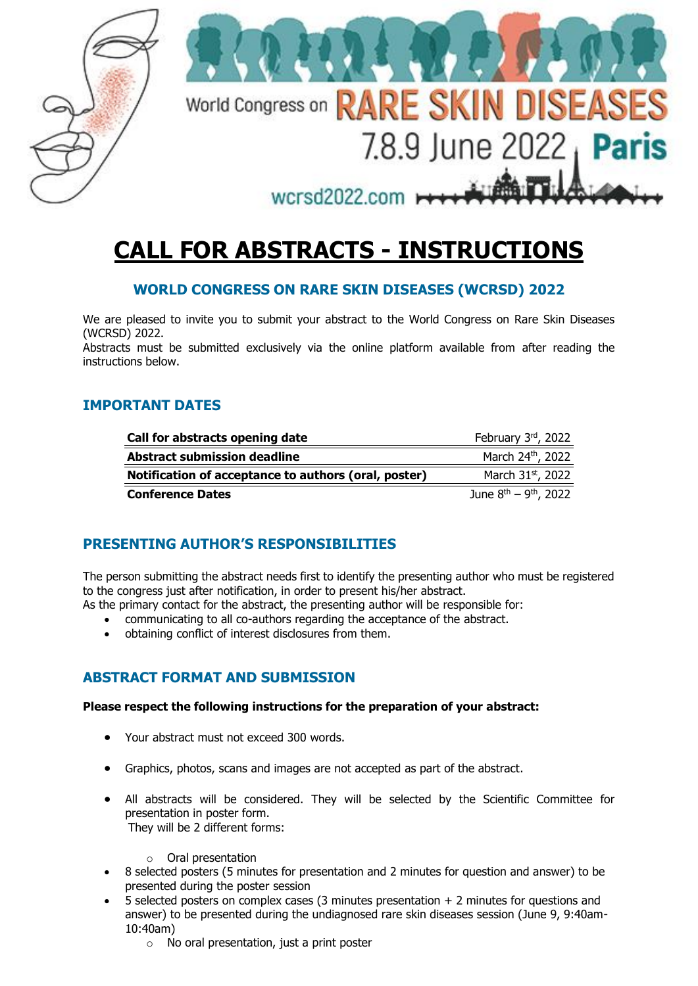

# **CALL FOR ABSTRACTS - INSTRUCTIONS**

## **WORLD CONGRESS ON RARE SKIN DISEASES (WCRSD) 2022**

We are pleased to invite you to submit your abstract to the World Congress on Rare Skin Diseases (WCRSD) 2022.

Abstracts must be submitted exclusively via the online platform available from after reading the instructions below.

## **IMPORTANT DATES**

| Call for abstracts opening date                      | February 3rd, 2022            |
|------------------------------------------------------|-------------------------------|
| <b>Abstract submission deadline</b>                  | March 24th, 2022              |
| Notification of acceptance to authors (oral, poster) | March 31st, 2022              |
| <b>Conference Dates</b>                              | June $8^{th} - 9^{th}$ , 2022 |

# **PRESENTING AUTHOR'S RESPONSIBILITIES**

The person submitting the abstract needs first to identify the presenting author who must be registered to the congress just after notification, in order to present his/her abstract.

As the primary contact for the abstract, the presenting author will be responsible for:

- communicating to all co-authors regarding the acceptance of the abstract.
- obtaining conflict of interest disclosures from them.

## **ABSTRACT FORMAT AND SUBMISSION**

#### **Please respect the following instructions for the preparation of your abstract:**

- Your abstract must not exceed 300 words.
- Graphics, photos, scans and images are not accepted as part of the abstract.
- All abstracts will be considered. They will be selected by the Scientific Committee for presentation in poster form. They will be 2 different forms:
	- o Oral presentation
- 8 selected posters (5 minutes for presentation and 2 minutes for question and answer) to be presented during the poster session
- $\overline{5}$  selected posters on complex cases (3 minutes presentation  $+2$  minutes for questions and answer) to be presented during the undiagnosed rare skin diseases session (June 9, 9:40am-10:40am)
	- $\circ$  No oral presentation, just a print poster